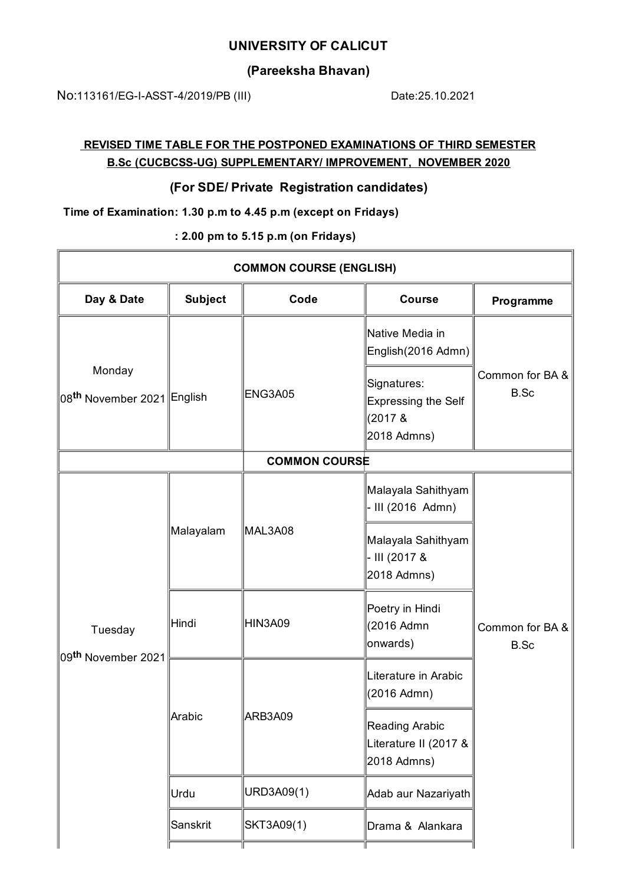### **UNIVERSITY OF CALICUT**

# **(Pareeksha Bhavan)**

No:113161/EG-I-ASST-4/2019/PB (III) Date:25.10.2021

 $\overline{\mathbf{u}}$ 

# **REVISED TIME TABLE FOR THE POSTPONED EXAMINATIONS OF THIRD SEMESTER B.Sc (CUCBCSS-UG) SUPPLEMENTARY/ IMPROVEMENT, NOVEMBER 2020**

### **(For SDE/ Private Registration candidates)**

**Time of Examination: 1.30 p.m to 4.45 p.m (except on Fridays)**

**: 2.00 pm to 5.15 p.m (on Fridays)**

| <b>COMMON COURSE (ENGLISH)</b>                    |                |            |                                                                        |                         |  |  |  |
|---------------------------------------------------|----------------|------------|------------------------------------------------------------------------|-------------------------|--|--|--|
| Day & Date                                        | <b>Subject</b> | Code       | <b>Course</b>                                                          | Programme               |  |  |  |
| Monday<br>∥08 <sup>th</sup> November 2021∥English |                | ENG3A05    | Native Media in<br>English(2016 Admn)                                  | Common for BA &<br>B.Sc |  |  |  |
|                                                   |                |            | Signatures:<br><b>Expressing the Self</b><br>$(2017 \&$<br>2018 Admns) |                         |  |  |  |
| <b>COMMON COURSE</b>                              |                |            |                                                                        |                         |  |  |  |
| Tuesday<br>09 <sup>th</sup> November 2021         | Malayalam      | MAL3A08    | Malayala Sahithyam<br>- III (2016 Admn)                                |                         |  |  |  |
|                                                   |                |            | Malayala Sahithyam<br>- III (2017 &<br>2018 Admns)                     | Common for BA &<br>B.Sc |  |  |  |
|                                                   | Hindi          | HIN3A09    | Poetry in Hindi<br>(2016 Admn<br>onwards)                              |                         |  |  |  |
|                                                   | Arabic         | ARB3A09    | Literature in Arabic<br>(2016 Admn)                                    |                         |  |  |  |
|                                                   |                |            | Reading Arabic<br>Literature II (2017 &<br>2018 Admns)                 |                         |  |  |  |
|                                                   | Urdu           | URD3A09(1) | Adab aur Nazariyath                                                    |                         |  |  |  |
|                                                   | Sanskrit       | SKT3A09(1) | Drama & Alankara                                                       |                         |  |  |  |